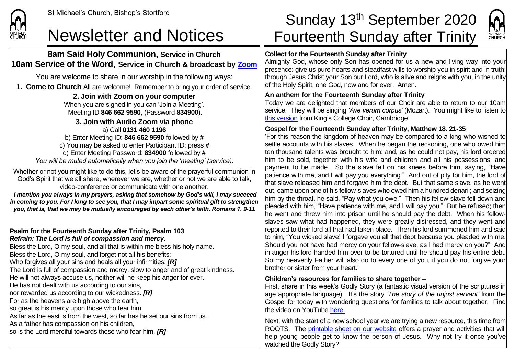

## **8am Said Holy Communion, Service in Church 10am Service of the Word, Service in Church & broadcast by [Zoom](https://zoom.us/)**

You are welcome to share in our worship in the following ways:

**1. Come to Church** All are welcome! Remember to bring your order of service.

**2. Join with Zoom on your computer** When you are signed in you can 'Join a Meeting'. Meeting ID **846 662 9590**, (Password **834900**).

**3. Join with Audio Zoom via phone** a) Call **0131 460 1196** b) Enter Meeting ID: **846 662 9590** followed by **#** c) You may be asked to enter Participant ID: press **#** d) Enter Meeting Password: **834900** followed by **#** *You will be muted automatically when you join the 'meeting' (service).*

Whether or not you might like to do this, let's be aware of the prayerful communion in God's Spirit that we all share, wherever we are, whether or not we are able to talk, video-conference or communicate with one another.

*I mention you always in my prayers, asking that somehow by God's will, I may succeed in coming to you. For I long to see you, that I may impart some spiritual gift to strengthen you, that is, that we may be mutually encouraged by each other's faith. Romans 1. 9-11*

#### **Psalm for the Fourteenth Sunday after Trinity, Psalm 103** *Refrain: The Lord is full of compassion and mercy.*

Bless the Lord, O my soul, and all that is within me bless his holy name. Bless the Lord, O my soul, and forget not all his benefits; Who forgives all your sins and heals all your infirmities; *[R]*  The Lord is full of compassion and mercy, slow to anger and of great kindness. He will not always accuse us, neither will he keep his anger for ever. He has not dealt with us according to our sins, nor rewarded us according to our wickedness. *[R]* For as the heavens are high above the earth, so great is his mercy upon those who fear him. As far as the east is from the west, so far has he set our sins from us. As a father has compassion on his children, so is the Lord merciful towards those who fear him. *[R]*

# St Michael's Church, Bishop's Stortford Sunday 13<sup>th</sup> September 2020 Newsletter and Notices Fourteenth Sunday after Trinity



### **Collect for the Fourteenth Sunday after Trinity**

Almighty God, whose only Son has opened for us a new and living way into your presence: give us pure hearts and steadfast wills to worship you in spirit and in truth; through Jesus Christ your Son our Lord, who is alive and reigns with you, in the unity of the Holy Spirit, one God, now and for ever. Amen.

### **An anthem for the Fourteenth Sunday after Trinity**

Today we are delighted that members of our Choir are able to return to our 10am service. They will be singing *'Ave verum corpus'* (Mozart). You might like to listen to [this version](https://www.youtube.com/watch/?v=HXjn6srhAlY) from King's College Choir, Cambridge.

### **Gospel for the Fourteenth Sunday after Trinity, Matthew 18. 21-35**

'For this reason the kingdom of heaven may be compared to a king who wished to settle accounts with his slaves. When he began the reckoning, one who owed him ten thousand talents was brought to him; and, as he could not pay, his lord ordered him to be sold, together with his wife and children and all his possessions, and payment to be made. So the slave fell on his knees before him, saying, "Have  $\overline{\mathsf{I}}$  patience with me. and I will pay you everything." And out of pity for him, the lord of that slave released him and forgave him the debt. But that same slave, as he went  $|$ out, came upon one of his fellow-slaves who owed him a hundred denarii; and seizing him by the throat, he said, "Pay what you owe." Then his fellow-slave fell down and pleaded with him, "Have patience with me, and I will pay you." But he refused; then he went and threw him into prison until he should pay the debt. When his fellowslaves saw what had happened, they were greatly distressed, and they went and reported to their lord all that had taken place. Then his lord summoned him and said to him, "You wicked slave! I forgave you all that debt because you pleaded with me. Should you not have had mercy on your fellow-slave, as I had mercy on you?" And in anger his lord handed him over to be tortured until he should pay his entire debt. So my heavenly Father will also do to every one of you, if you do not forgive your brother or sister from your heart.'

### **Children's resources for families to share together –**

First, share in this week's Godly Story (a fantastic visual version of the scriptures in age appropriate language). It's the story *'The story of the unjust servant'* from the Gospel for today with wondering questions for families to talk about together. Find the video on YouTub[e here](https://www.youtube.com/watch?v=7jrebGZZwwk)[.](https://www.youtube.com/watch?v=7jrebGZZwwk)

Next, with the start of a new school year we are trying a new resource, this time from ROOTS. The [printable sheet on our website](https://saintmichaelweb.org.uk/Articles/542815/_Newsletter.aspx) offers a prayer and activities that will help young people get to know the person of Jesus. Why not try it once you've watched the Godly Story?